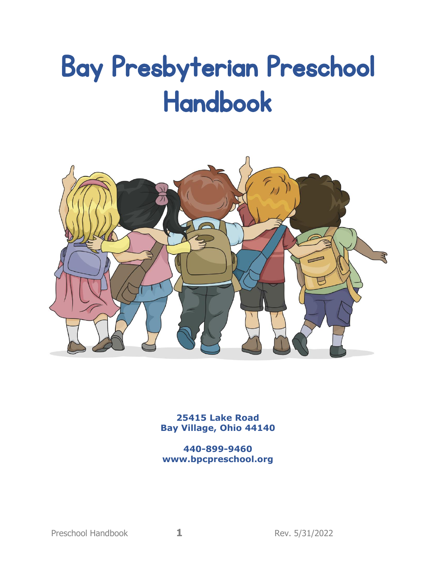# Bay Presbyterian Preschool Handbook



**25415 Lake Road Bay Village, Ohio 44140**

**440-899-9460 www.bpcpreschool.org**

Preschool Handbook **1 1** Rev. 5/31/2022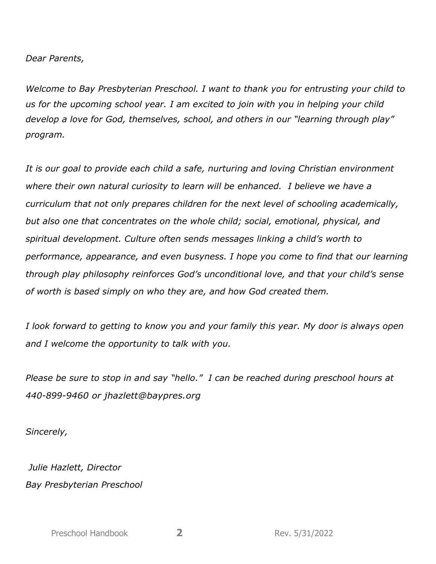*Dear Parents,*

*Welcome to Bay Presbyterian Preschool. I want to thank you for entrusting your child to us for the upcoming school year. I am excited to join with you in helping your child develop a love for God, themselves, school, and others in our "learning through play" program.* 

*It is our goal to provide each child a safe, nurturing and loving Christian environment where their own natural curiosity to learn will be enhanced. I believe we have a curriculum that not only prepares children for the next level of schooling academically, but also one that concentrates on the whole child; social, emotional, physical, and spiritual development. Culture often sends messages linking a child's worth to performance, appearance, and even busyness. I hope you come to find that our learning through play philosophy reinforces God's unconditional love, and that your child's sense of worth is based simply on who they are, and how God created them.* 

*I look forward to getting to know you and your family this year. My door is always open and I welcome the opportunity to talk with you.* 

*Please be sure to stop in and say "hello." I can be reached during preschool hours at 440-899-9460 or jhazlett@baypres.org*

*Sincerely,*

*Julie Hazlett, Director Bay Presbyterian Preschool*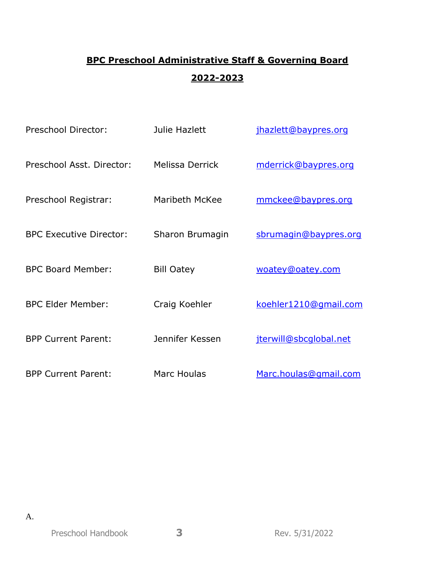# **BPC Preschool Administrative Staff & Governing Board 2022-2023**

| Preschool Director:            | Julie Hazlett      | jhazlett@baypres.org   |
|--------------------------------|--------------------|------------------------|
| Preschool Asst. Director:      | Melissa Derrick    | mderrick@baypres.org   |
| Preschool Registrar:           | Maribeth McKee     | mmckee@baypres.org     |
| <b>BPC Executive Director:</b> | Sharon Brumagin    | sbrumagin@baypres.org  |
| <b>BPC Board Member:</b>       | <b>Bill Oatey</b>  | woatey@oatey.com       |
| <b>BPC Elder Member:</b>       | Craig Koehler      | koehler1210@gmail.com  |
| <b>BPP Current Parent:</b>     | Jennifer Kessen    | jterwill@sbcqlobal.net |
| <b>BPP Current Parent:</b>     | <b>Marc Houlas</b> | Marc.houlas@gmail.com  |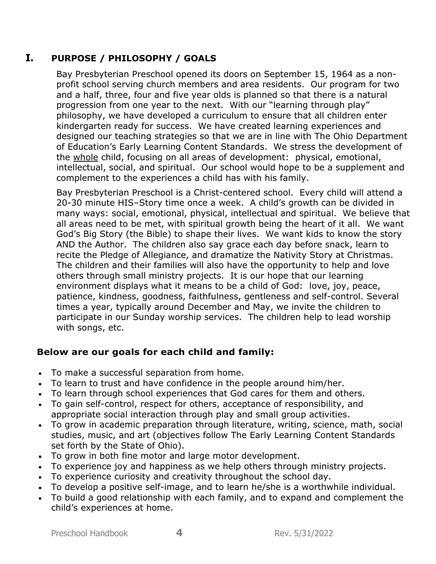# **I. PURPOSE / PHILOSOPHY / GOALS**

Bay Presbyterian Preschool opened its doors on September 15, 1964 as a nonprofit school serving church members and area residents. Our program for two and a half, three, four and five year olds is planned so that there is a natural progression from one year to the next. With our "learning through play" philosophy, we have developed a curriculum to ensure that all children enter kindergarten ready for success. We have created learning experiences and designed our teaching strategies so that we are in line with The Ohio Department of Education's Early Learning Content Standards. We stress the development of the whole child, focusing on all areas of development: physical, emotional, intellectual, social, and spiritual. Our school would hope to be a supplement and complement to the experiences a child has with his family.

Bay Presbyterian Preschool is a Christ-centered school. Every child will attend a 20-30 minute HIS–Story time once a week. A child's growth can be divided in many ways: social, emotional, physical, intellectual and spiritual. We believe that all areas need to be met, with spiritual growth being the heart of it all. We want God's Big Story (the Bible) to shape their lives. We want kids to know the story AND the Author. The children also say grace each day before snack, learn to recite the Pledge of Allegiance, and dramatize the Nativity Story at Christmas. The children and their families will also have the opportunity to help and love others through small ministry projects. It is our hope that our learning environment displays what it means to be a child of God: love, joy, peace, patience, kindness, goodness, faithfulness, gentleness and self-control. Several times a year, typically around December and May, we invite the children to participate in our Sunday worship services. The children help to lead worship with songs, etc.

# **Below are our goals for each child and family:**

- To make a successful separation from home.
- To learn to trust and have confidence in the people around him/her.
- To learn through school experiences that God cares for them and others.
- To gain self-control, respect for others, acceptance of responsibility, and appropriate social interaction through play and small group activities.
- To grow in academic preparation through literature, writing, science, math, social studies, music, and art (objectives follow The Early Learning Content Standards set forth by the State of Ohio).
- To grow in both fine motor and large motor development.
- To experience joy and happiness as we help others through ministry projects.
- To experience curiosity and creativity throughout the school day.
- To develop a positive self-image, and to learn he/she is a worthwhile individual.
- To build a good relationship with each family, and to expand and complement the child's experiences at home.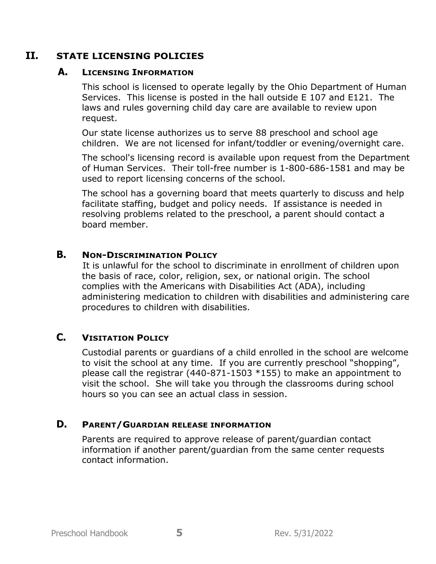## **II. STATE LICENSING POLICIES**

## **A. LICENSING INFORMATION**

This school is licensed to operate legally by the Ohio Department of Human Services. This license is posted in the hall outside E 107 and E121. The laws and rules governing child day care are available to review upon request.

Our state license authorizes us to serve 88 preschool and school age children. We are not licensed for infant/toddler or evening/overnight care.

The school's licensing record is available upon request from the Department of Human Services. Their toll-free number is 1-800-686-1581 and may be used to report licensing concerns of the school.

The school has a governing board that meets quarterly to discuss and help facilitate staffing, budget and policy needs. If assistance is needed in resolving problems related to the preschool, a parent should contact a board member.

## **B. NON-DISCRIMINATION POLICY**

It is unlawful for the school to discriminate in enrollment of children upon the basis of race, color, religion, sex, or national origin. The school complies with the Americans with Disabilities Act (ADA), including administering medication to children with disabilities and administering care procedures to children with disabilities.

# **C. VISITATION POLICY**

Custodial parents or guardians of a child enrolled in the school are welcome to visit the school at any time. If you are currently preschool "shopping", please call the registrar (440-871-1503 \*155) to make an appointment to visit the school. She will take you through the classrooms during school hours so you can see an actual class in session.

## **D. PARENT/GUARDIAN RELEASE INFORMATION**

Parents are required to approve release of parent/guardian contact information if another parent/guardian from the same center requests contact information.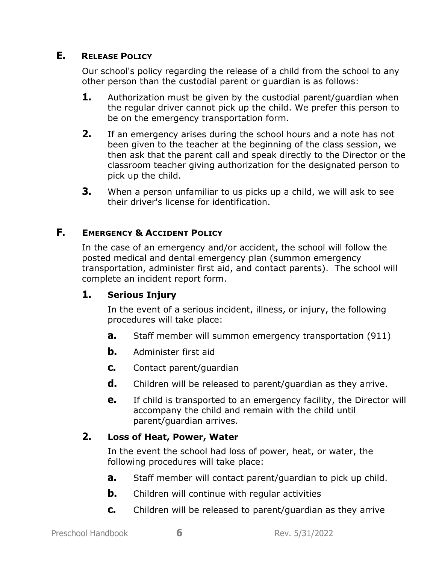## **E. RELEASE POLICY**

Our school's policy regarding the release of a child from the school to any other person than the custodial parent or guardian is as follows:

- **1.** Authorization must be given by the custodial parent/guardian when the regular driver cannot pick up the child. We prefer this person to be on the emergency transportation form.
- **2.** If an emergency arises during the school hours and a note has not been given to the teacher at the beginning of the class session, we then ask that the parent call and speak directly to the Director or the classroom teacher giving authorization for the designated person to pick up the child.
- **3.** When a person unfamiliar to us picks up a child, we will ask to see their driver's license for identification.

# **F. EMERGENCY & ACCIDENT POLICY**

In the case of an emergency and/or accident, the school will follow the posted medical and dental emergency plan (summon emergency transportation, administer first aid, and contact parents). The school will complete an incident report form.

# **1. Serious Injury**

In the event of a serious incident, illness, or injury, the following procedures will take place:

- **a.** Staff member will summon emergency transportation (911)
- **b.** Administer first aid
- **c.** Contact parent/guardian
- **d.** Children will be released to parent/guardian as they arrive.
- **e.** If child is transported to an emergency facility, the Director will accompany the child and remain with the child until parent/guardian arrives.

# **2. Loss of Heat, Power, Water**

In the event the school had loss of power, heat, or water, the following procedures will take place:

- **a.** Staff member will contact parent/guardian to pick up child.
- **b.** Children will continue with regular activities
- **c.** Children will be released to parent/guardian as they arrive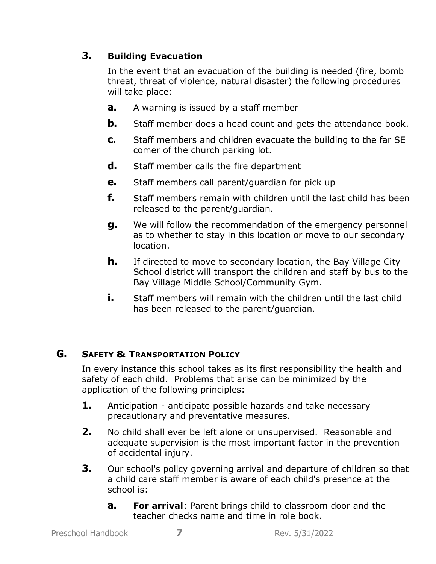# **3. Building Evacuation**

In the event that an evacuation of the building is needed (fire, bomb threat, threat of violence, natural disaster) the following procedures will take place:

- **a.** A warning is issued by a staff member
- **b.** Staff member does a head count and gets the attendance book.
- **c.** Staff members and children evacuate the building to the far SE comer of the church parking lot.
- **d.** Staff member calls the fire department
- **e.** Staff members call parent/guardian for pick up
- **f.** Staff members remain with children until the last child has been released to the parent/guardian.
- **g.** We will follow the recommendation of the emergency personnel as to whether to stay in this location or move to our secondary location.
- **h.** If directed to move to secondary location, the Bay Village City School district will transport the children and staff by bus to the Bay Village Middle School/Community Gym.
- **i.** Staff members will remain with the children until the last child has been released to the parent/guardian.

## **G. SAFETY & TRANSPORTATION POLICY**

In every instance this school takes as its first responsibility the health and safety of each child. Problems that arise can be minimized by the application of the following principles:

- **1.** Anticipation anticipate possible hazards and take necessary precautionary and preventative measures.
- **2.** No child shall ever be left alone or unsupervised. Reasonable and adequate supervision is the most important factor in the prevention of accidental injury.
- **3.** Our school's policy governing arrival and departure of children so that a child care staff member is aware of each child's presence at the school is:
	- **a. For arrival**: Parent brings child to classroom door and the teacher checks name and time in role book.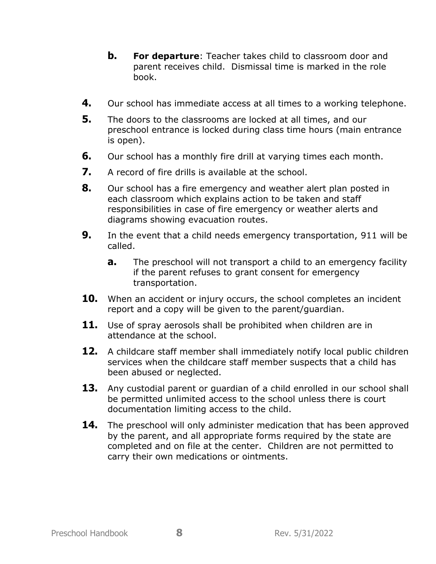- **b. For departure**: Teacher takes child to classroom door and parent receives child. Dismissal time is marked in the role book.
- **4.** Our school has immediate access at all times to a working telephone.
- **5.** The doors to the classrooms are locked at all times, and our preschool entrance is locked during class time hours (main entrance is open).
- **6.** Our school has a monthly fire drill at varying times each month.
- **7.** A record of fire drills is available at the school.
- **8.** Our school has a fire emergency and weather alert plan posted in each classroom which explains action to be taken and staff responsibilities in case of fire emergency or weather alerts and diagrams showing evacuation routes.
- **9.** In the event that a child needs emergency transportation, 911 will be called.
	- **a.** The preschool will not transport a child to an emergency facility if the parent refuses to grant consent for emergency transportation.
- **10.** When an accident or injury occurs, the school completes an incident report and a copy will be given to the parent/guardian.
- 11. Use of spray aerosols shall be prohibited when children are in attendance at the school.
- **12.** A childcare staff member shall immediately notify local public children services when the childcare staff member suspects that a child has been abused or neglected.
- **13.** Any custodial parent or guardian of a child enrolled in our school shall be permitted unlimited access to the school unless there is court documentation limiting access to the child.
- **14.** The preschool will only administer medication that has been approved by the parent, and all appropriate forms required by the state are completed and on file at the center. Children are not permitted to carry their own medications or ointments.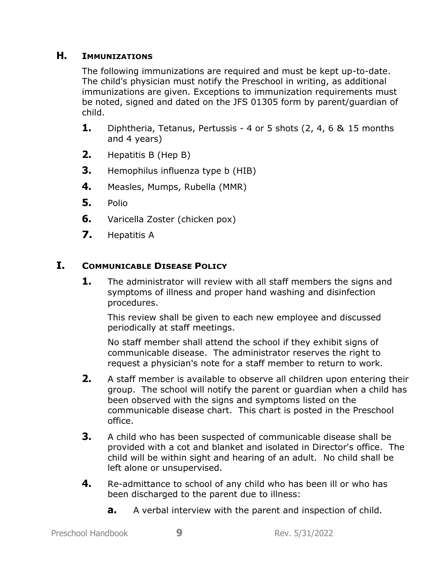## **H. IMMUNIZATIONS**

The following immunizations are required and must be kept up-to-date. The child's physician must notify the Preschool in writing, as additional immunizations are given. Exceptions to immunization requirements must be noted, signed and dated on the JFS 01305 form by parent/guardian of child.

- **1.** Diphtheria, Tetanus, Pertussis 4 or 5 shots (2, 4, 6 & 15 months and 4 years)
- **2.** Hepatitis B (Hep B)
- **3.** Hemophilus influenza type b (HIB)
- **4.** Measles, Mumps, Rubella (MMR)
- **5.** Polio
- **6.** Varicella Zoster (chicken pox)
- **7.** Hepatitis A

# **I. COMMUNICABLE DISEASE POLICY**

**1.** The administrator will review with all staff members the signs and symptoms of illness and proper hand washing and disinfection procedures.

This review shall be given to each new employee and discussed periodically at staff meetings.

No staff member shall attend the school if they exhibit signs of communicable disease. The administrator reserves the right to request a physician's note for a staff member to return to work.

- **2.** A staff member is available to observe all children upon entering their group. The school will notify the parent or guardian when a child has been observed with the signs and symptoms listed on the communicable disease chart. This chart is posted in the Preschool office.
- **3.** A child who has been suspected of communicable disease shall be provided with a cot and blanket and isolated in Director's office. The child will be within sight and hearing of an adult. No child shall be left alone or unsupervised.
- **4.** Re-admittance to school of any child who has been ill or who has been discharged to the parent due to illness:
	- **a.** A verbal interview with the parent and inspection of child.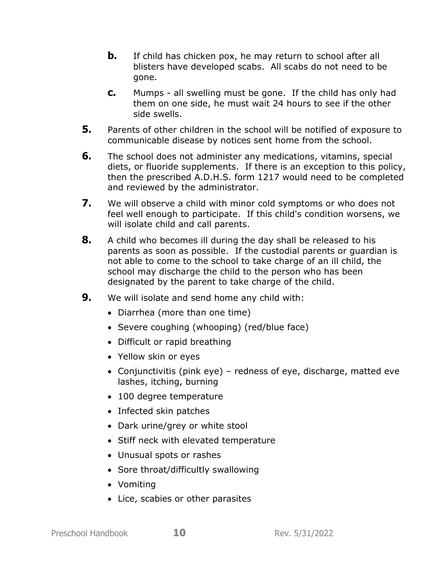- **b.** If child has chicken pox, he may return to school after all blisters have developed scabs. All scabs do not need to be gone.
- **c.** Mumps all swelling must be gone. If the child has only had them on one side, he must wait 24 hours to see if the other side swells.
- **5.** Parents of other children in the school will be notified of exposure to communicable disease by notices sent home from the school.
- **6.** The school does not administer any medications, vitamins, special diets, or fluoride supplements. If there is an exception to this policy, then the prescribed A.D.H.S. form 1217 would need to be completed and reviewed by the administrator.
- **7.** We will observe a child with minor cold symptoms or who does not feel well enough to participate. If this child's condition worsens, we will isolate child and call parents.
- **8.** A child who becomes ill during the day shall be released to his parents as soon as possible. If the custodial parents or guardian is not able to come to the school to take charge of an ill child, the school may discharge the child to the person who has been designated by the parent to take charge of the child.
- **9.** We will isolate and send home any child with:
	- Diarrhea (more than one time)
	- Severe coughing (whooping) (red/blue face)
	- Difficult or rapid breathing
	- Yellow skin or eyes
	- Conjunctivitis (pink eye) redness of eye, discharge, matted eve lashes, itching, burning
	- 100 degree temperature
	- Infected skin patches
	- Dark urine/grey or white stool
	- Stiff neck with elevated temperature
	- Unusual spots or rashes
	- Sore throat/difficultly swallowing
	- Vomiting
	- Lice, scabies or other parasites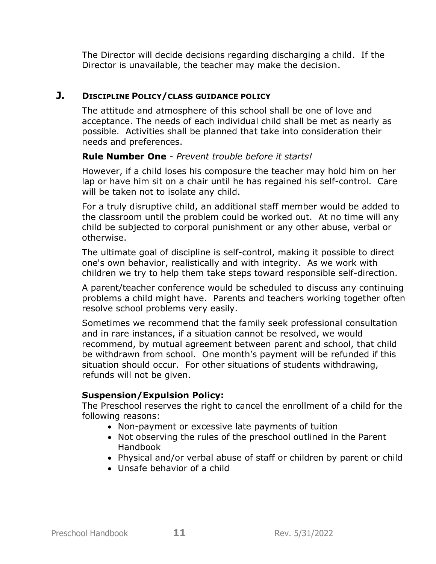The Director will decide decisions regarding discharging a child. If the Director is unavailable, the teacher may make the decision.

## **J. DISCIPLINE POLICY/CLASS GUIDANCE POLICY**

The attitude and atmosphere of this school shall be one of love and acceptance. The needs of each individual child shall be met as nearly as possible. Activities shall be planned that take into consideration their needs and preferences.

## **Rule Number One** - *Prevent trouble before it starts!*

However, if a child loses his composure the teacher may hold him on her lap or have him sit on a chair until he has regained his self-control. Care will be taken not to isolate any child.

For a truly disruptive child, an additional staff member would be added to the classroom until the problem could be worked out. At no time will any child be subjected to corporal punishment or any other abuse, verbal or otherwise.

The ultimate goal of discipline is self-control, making it possible to direct one's own behavior, realistically and with integrity. As we work with children we try to help them take steps toward responsible self-direction.

A parent/teacher conference would be scheduled to discuss any continuing problems a child might have. Parents and teachers working together often resolve school problems very easily.

Sometimes we recommend that the family seek professional consultation and in rare instances, if a situation cannot be resolved, we would recommend, by mutual agreement between parent and school, that child be withdrawn from school. One month's payment will be refunded if this situation should occur. For other situations of students withdrawing, refunds will not be given.

## **Suspension/Expulsion Policy:**

The Preschool reserves the right to cancel the enrollment of a child for the following reasons:

- Non-payment or excessive late payments of tuition
- Not observing the rules of the preschool outlined in the Parent Handbook
- Physical and/or verbal abuse of staff or children by parent or child
- Unsafe behavior of a child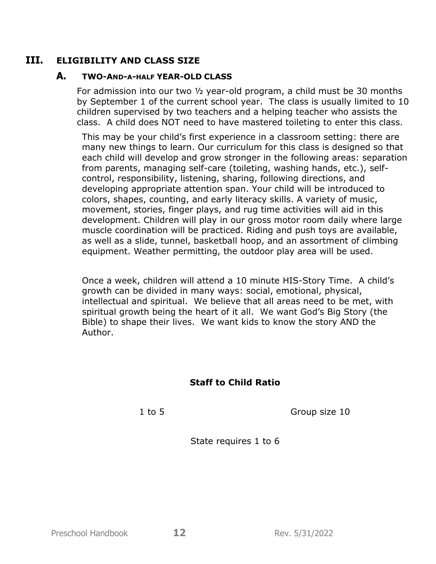## **III. ELIGIBILITY AND CLASS SIZE**

#### **A. TWO-AND-A-HALF YEAR-OLD CLASS**

For admission into our two ½ year-old program, a child must be 30 months by September 1 of the current school year. The class is usually limited to 10 children supervised by two teachers and a helping teacher who assists the class. A child does NOT need to have mastered toileting to enter this class.

This may be your child's first experience in a classroom setting: there are many new things to learn. Our curriculum for this class is designed so that each child will develop and grow stronger in the following areas: separation from parents, managing self-care (toileting, washing hands, etc.), selfcontrol, responsibility, listening, sharing, following directions, and developing appropriate attention span. Your child will be introduced to colors, shapes, counting, and early literacy skills. A variety of music, movement, stories, finger plays, and rug time activities will aid in this development. Children will play in our gross motor room daily where large muscle coordination will be practiced. Riding and push toys are available, as well as a slide, tunnel, basketball hoop, and an assortment of climbing equipment. Weather permitting, the outdoor play area will be used.

Once a week, children will attend a 10 minute HIS-Story Time. A child's growth can be divided in many ways: social, emotional, physical, intellectual and spiritual. We believe that all areas need to be met, with spiritual growth being the heart of it all. We want God's Big Story (the Bible) to shape their lives. We want kids to know the story AND the Author.

## **Staff to Child Ratio**

1 to 5 Group size 10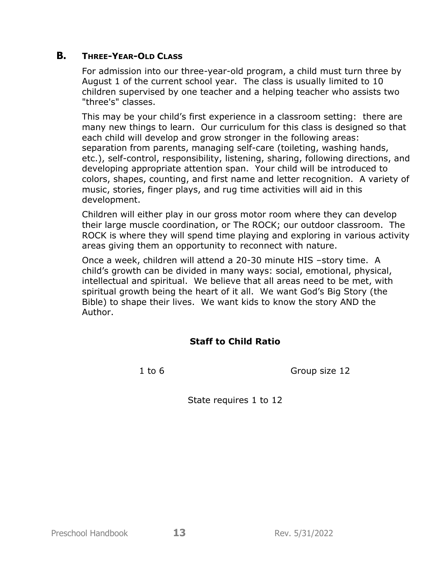## **B. THREE-YEAR-OLD CLASS**

For admission into our three-year-old program, a child must turn three by August 1 of the current school year. The class is usually limited to 10 children supervised by one teacher and a helping teacher who assists two "three's" classes.

This may be your child's first experience in a classroom setting: there are many new things to learn. Our curriculum for this class is designed so that each child will develop and grow stronger in the following areas: separation from parents, managing self-care (toileting, washing hands, etc.), self-control, responsibility, listening, sharing, following directions, and developing appropriate attention span. Your child will be introduced to colors, shapes, counting, and first name and letter recognition. A variety of music, stories, finger plays, and rug time activities will aid in this development.

Children will either play in our gross motor room where they can develop their large muscle coordination, or The ROCK; our outdoor classroom. The ROCK is where they will spend time playing and exploring in various activity areas giving them an opportunity to reconnect with nature.

Once a week, children will attend a 20-30 minute HIS –story time. A child's growth can be divided in many ways: social, emotional, physical, intellectual and spiritual. We believe that all areas need to be met, with spiritual growth being the heart of it all. We want God's Big Story (the Bible) to shape their lives. We want kids to know the story AND the Author.

## **Staff to Child Ratio**

1 to 6 Group size 12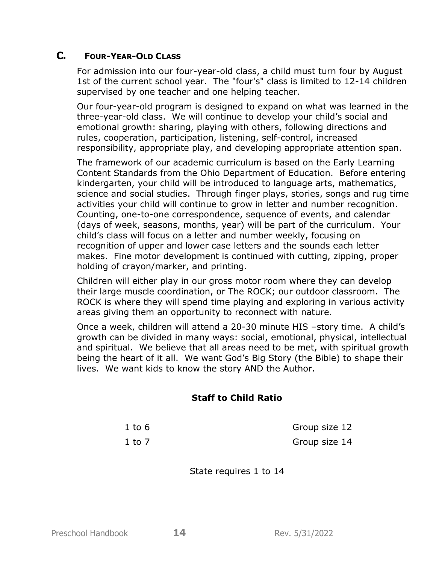## **C. FOUR-YEAR-OLD CLASS**

For admission into our four-year-old class, a child must turn four by August 1st of the current school year. The "four's" class is limited to 12-14 children supervised by one teacher and one helping teacher.

Our four-year-old program is designed to expand on what was learned in the three-year-old class. We will continue to develop your child's social and emotional growth: sharing, playing with others, following directions and rules, cooperation, participation, listening, self-control, increased responsibility, appropriate play, and developing appropriate attention span.

The framework of our academic curriculum is based on the Early Learning Content Standards from the Ohio Department of Education. Before entering kindergarten, your child will be introduced to language arts, mathematics, science and social studies. Through finger plays, stories, songs and rug time activities your child will continue to grow in letter and number recognition. Counting, one-to-one correspondence, sequence of events, and calendar (days of week, seasons, months, year) will be part of the curriculum. Your child's class will focus on a letter and number weekly, focusing on recognition of upper and lower case letters and the sounds each letter makes. Fine motor development is continued with cutting, zipping, proper holding of crayon/marker, and printing.

Children will either play in our gross motor room where they can develop their large muscle coordination, or The ROCK; our outdoor classroom. The ROCK is where they will spend time playing and exploring in various activity areas giving them an opportunity to reconnect with nature.

Once a week, children will attend a 20-30 minute HIS –story time. A child's growth can be divided in many ways: social, emotional, physical, intellectual and spiritual. We believe that all areas need to be met, with spiritual growth being the heart of it all. We want God's Big Story (the Bible) to shape their lives. We want kids to know the story AND the Author.

#### **Staff to Child Ratio**

| $1$ to 6 | Group size 12 |
|----------|---------------|
| 1 to 7   | Group size 14 |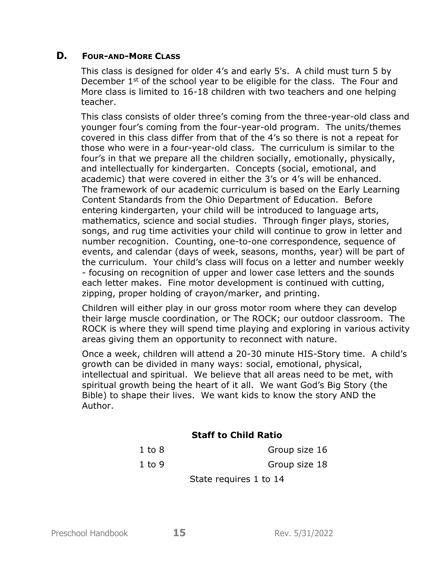## **D. FOUR-AND-MORE CLASS**

This class is designed for older 4's and early 5's. A child must turn 5 by December 1<sup>st</sup> of the school year to be eligible for the class. The Four and More class is limited to 16-18 children with two teachers and one helping teacher.

This class consists of older three's coming from the three-year-old class and younger four's coming from the four-year-old program. The units/themes covered in this class differ from that of the 4's so there is not a repeat for those who were in a four-year-old class. The curriculum is similar to the four's in that we prepare all the children socially, emotionally, physically, and intellectually for kindergarten. Concepts (social, emotional, and academic) that were covered in either the 3's or 4's will be enhanced. The framework of our academic curriculum is based on the Early Learning Content Standards from the Ohio Department of Education. Before entering kindergarten, your child will be introduced to language arts, mathematics, science and social studies. Through finger plays, stories, songs, and rug time activities your child will continue to grow in letter and number recognition. Counting, one-to-one correspondence, sequence of events, and calendar (days of week, seasons, months, year) will be part of the curriculum. Your child's class will focus on a letter and number weekly - focusing on recognition of upper and lower case letters and the sounds each letter makes. Fine motor development is continued with cutting, zipping, proper holding of crayon/marker, and printing.

Children will either play in our gross motor room where they can develop their large muscle coordination, or The ROCK; our outdoor classroom. The ROCK is where they will spend time playing and exploring in various activity areas giving them an opportunity to reconnect with nature.

Once a week, children will attend a 20-30 minute HIS-Story time. A child's growth can be divided in many ways: social, emotional, physical, intellectual and spiritual. We believe that all areas need to be met, with spiritual growth being the heart of it all. We want God's Big Story (the Bible) to shape their lives. We want kids to know the story AND the Author.

## **Staff to Child Ratio**

| $1$ to $8$ | Group size 16 |
|------------|---------------|
| $1$ to 9   | Group size 18 |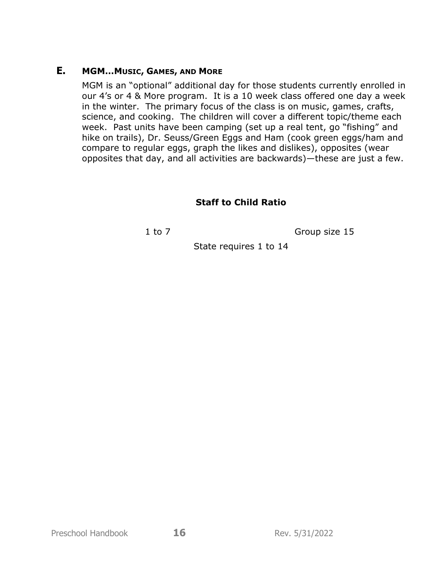## **E. MGM…MUSIC, GAMES, AND MORE**

MGM is an "optional" additional day for those students currently enrolled in our 4's or 4 & More program. It is a 10 week class offered one day a week in the winter. The primary focus of the class is on music, games, crafts, science, and cooking. The children will cover a different topic/theme each week. Past units have been camping (set up a real tent, go "fishing" and hike on trails), Dr. Seuss/Green Eggs and Ham (cook green eggs/ham and compare to regular eggs, graph the likes and dislikes), opposites (wear opposites that day, and all activities are backwards)—these are just a few.

# **Staff to Child Ratio**

1 to 7 Group size 15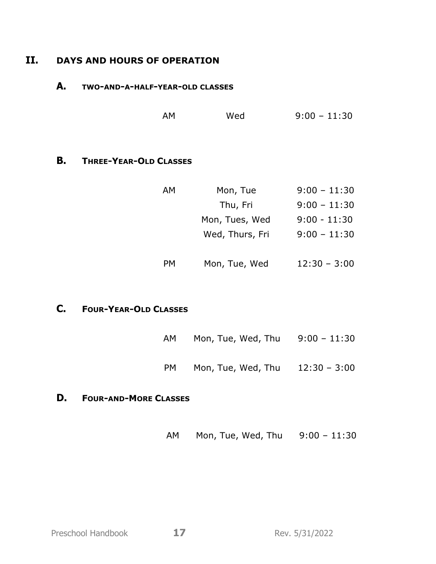# **II. DAYS AND HOURS OF OPERATION**

## **A. TWO-AND-A-HALF-YEAR-OLD CLASSES**

| AM | Wed | $9:00 - 11:30$ |
|----|-----|----------------|
|    |     |                |

## **B. THREE-YEAR-OLD CLASSES**

| AM | Mon, Tue        | $9:00 - 11:30$ |
|----|-----------------|----------------|
|    | Thu, Fri        | $9:00 - 11:30$ |
|    | Mon, Tues, Wed  | $9:00 - 11:30$ |
|    | Wed, Thurs, Fri | $9:00 - 11:30$ |
| PМ | Mon, Tue, Wed   | $12:30 - 3:00$ |

# **C. FOUR-YEAR-OLD CLASSES**

| AM   | Mon, Tue, Wed, Thu | $9:00 - 11:30$ |
|------|--------------------|----------------|
| PM - | Mon, Tue, Wed, Thu | $12:30 - 3:00$ |

## **D. FOUR-AND-MORE CLASSES**

| AM | Mon, Tue, Wed, Thu | $9:00 - 11:30$ |
|----|--------------------|----------------|
|----|--------------------|----------------|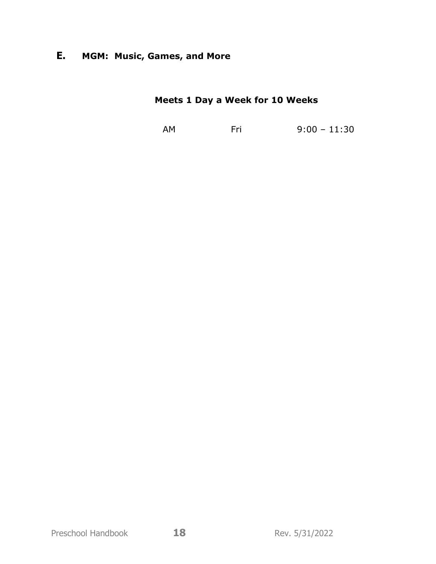# **E. MGM: Music, Games, and More**

# **Meets 1 Day a Week for 10 Weeks**

AM Fri 9:00 – 11:30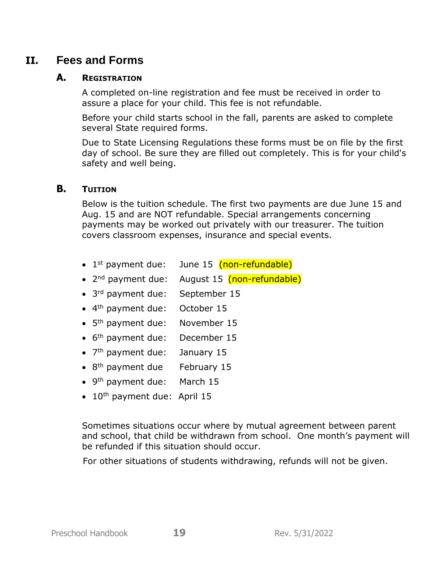# **II. Fees and Forms**

### **A. REGISTRATION**

A completed on-line registration and fee must be received in order to assure a place for your child. This fee is not refundable.

Before your child starts school in the fall, parents are asked to complete several State required forms.

Due to State Licensing Regulations these forms must be on file by the first day of school. Be sure they are filled out completely. This is for your child's safety and well being.

#### **B. TUITION**

Below is the tuition schedule. The first two payments are due June 15 and Aug. 15 and are NOT refundable. Special arrangements concerning payments may be worked out privately with our treasurer. The tuition covers classroom expenses, insurance and special events.

- $\bullet$  1<sup>st</sup> payment due: June 15 (non-refundable)
- 2<sup>nd</sup> payment due: August 15 (non-refundable)
- 3<sup>rd</sup> payment due: September 15
- 4<sup>th</sup> payment due: October 15
- 5<sup>th</sup> payment due: November 15
- 6<sup>th</sup> payment due: December 15
- 7<sup>th</sup> payment due: January 15
- 8<sup>th</sup> payment due February 15
- 9<sup>th</sup> payment due: March 15
- $\bullet$  10<sup>th</sup> payment due: April 15

Sometimes situations occur where by mutual agreement between parent and school, that child be withdrawn from school. One month's payment will be refunded if this situation should occur.

For other situations of students withdrawing, refunds will not be given.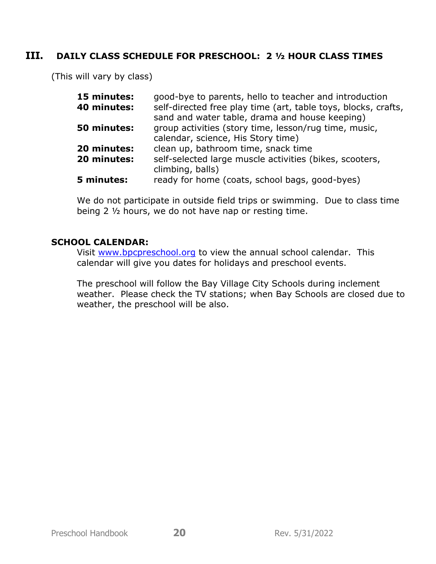## **III. DAILY CLASS SCHEDULE FOR PRESCHOOL: 2 ½ HOUR CLASS TIMES**

(This will vary by class)

| 15 minutes: | good-bye to parents, hello to teacher and introduction                                                           |
|-------------|------------------------------------------------------------------------------------------------------------------|
| 40 minutes: | self-directed free play time (art, table toys, blocks, crafts,<br>sand and water table, drama and house keeping) |
| 50 minutes: | group activities (story time, lesson/rug time, music,                                                            |
|             | calendar, science, His Story time)                                                                               |
| 20 minutes: | clean up, bathroom time, snack time                                                                              |
| 20 minutes: | self-selected large muscle activities (bikes, scooters,<br>climbing, balls)                                      |
| 5 minutes:  | ready for home (coats, school bags, good-byes)                                                                   |

We do not participate in outside field trips or swimming. Due to class time being 2 ½ hours, we do not have nap or resting time.

#### **SCHOOL CALENDAR:**

Visit [www.bpcpreschool.org](http://www.bpcpreschool.org/) to view the annual school calendar. This calendar will give you dates for holidays and preschool events.

The preschool will follow the Bay Village City Schools during inclement weather. Please check the TV stations; when Bay Schools are closed due to weather, the preschool will be also.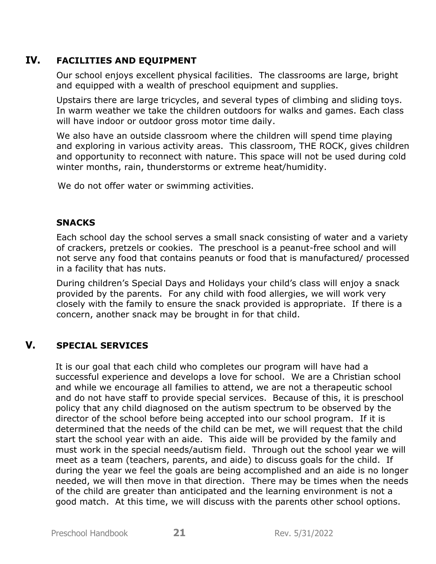# **IV. FACILITIES AND EQUIPMENT**

Our school enjoys excellent physical facilities. The classrooms are large, bright and equipped with a wealth of preschool equipment and supplies.

Upstairs there are large tricycles, and several types of climbing and sliding toys. In warm weather we take the children outdoors for walks and games. Each class will have indoor or outdoor gross motor time daily.

We also have an outside classroom where the children will spend time playing and exploring in various activity areas. This classroom, THE ROCK, gives children and opportunity to reconnect with nature. This space will not be used during cold winter months, rain, thunderstorms or extreme heat/humidity.

We do not offer water or swimming activities.

## **SNACKS**

Each school day the school serves a small snack consisting of water and a variety of crackers, pretzels or cookies. The preschool is a peanut-free school and will not serve any food that contains peanuts or food that is manufactured/ processed in a facility that has nuts.

During children's Special Days and Holidays your child's class will enjoy a snack provided by the parents. For any child with food allergies, we will work very closely with the family to ensure the snack provided is appropriate. If there is a concern, another snack may be brought in for that child.

## **V. SPECIAL SERVICES**

It is our goal that each child who completes our program will have had a successful experience and develops a love for school. We are a Christian school and while we encourage all families to attend, we are not a therapeutic school and do not have staff to provide special services. Because of this, it is preschool policy that any child diagnosed on the autism spectrum to be observed by the director of the school before being accepted into our school program. If it is determined that the needs of the child can be met, we will request that the child start the school year with an aide. This aide will be provided by the family and must work in the special needs/autism field. Through out the school year we will meet as a team (teachers, parents, and aide) to discuss goals for the child. If during the year we feel the goals are being accomplished and an aide is no longer needed, we will then move in that direction. There may be times when the needs of the child are greater than anticipated and the learning environment is not a good match. At this time, we will discuss with the parents other school options.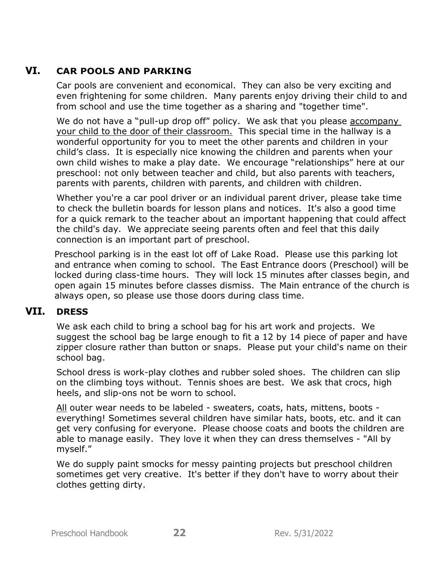# **VI. CAR POOLS AND PARKING**

Car pools are convenient and economical. They can also be very exciting and even frightening for some children. Many parents enjoy driving their child to and from school and use the time together as a sharing and "together time".

We do not have a "pull-up drop off" policy. We ask that you please accompany your child to the door of their classroom. This special time in the hallway is a wonderful opportunity for you to meet the other parents and children in your child's class. It is especially nice knowing the children and parents when your own child wishes to make a play date. We encourage "relationships" here at our preschool: not only between teacher and child, but also parents with teachers, parents with parents, children with parents, and children with children.

Whether you're a car pool driver or an individual parent driver, please take time to check the bulletin boards for lesson plans and notices. It's also a good time for a quick remark to the teacher about an important happening that could affect the child's day. We appreciate seeing parents often and feel that this daily connection is an important part of preschool.

Preschool parking is in the east lot off of Lake Road. Please use this parking lot and entrance when coming to school. The East Entrance doors (Preschool) will be locked during class-time hours. They will lock 15 minutes after classes begin, and open again 15 minutes before classes dismiss. The Main entrance of the church is always open, so please use those doors during class time.

# **VII. DRESS**

We ask each child to bring a school bag for his art work and projects. We suggest the school bag be large enough to fit a 12 by 14 piece of paper and have zipper closure rather than button or snaps. Please put your child's name on their school bag.

School dress is work-play clothes and rubber soled shoes. The children can slip on the climbing toys without. Tennis shoes are best. We ask that crocs, high heels, and slip-ons not be worn to school.

All outer wear needs to be labeled - sweaters, coats, hats, mittens, boots everything! Sometimes several children have similar hats, boots, etc. and it can get very confusing for everyone. Please choose coats and boots the children are able to manage easily. They love it when they can dress themselves - "All by myself."

We do supply paint smocks for messy painting projects but preschool children sometimes get very creative. It's better if they don't have to worry about their clothes getting dirty.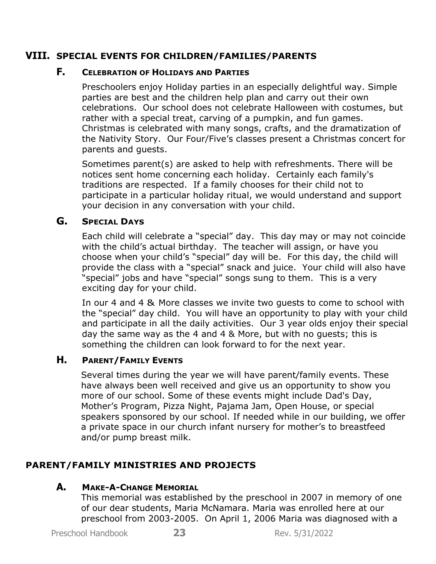# **VIII. SPECIAL EVENTS FOR CHILDREN/FAMILIES/PARENTS**

## **F. CELEBRATION OF HOLIDAYS AND PARTIES**

Preschoolers enjoy Holiday parties in an especially delightful way. Simple parties are best and the children help plan and carry out their own celebrations. Our school does not celebrate Halloween with costumes, but rather with a special treat, carving of a pumpkin, and fun games. Christmas is celebrated with many songs, crafts, and the dramatization of the Nativity Story. Our Four/Five's classes present a Christmas concert for parents and guests.

Sometimes parent(s) are asked to help with refreshments. There will be notices sent home concerning each holiday. Certainly each family's traditions are respected. If a family chooses for their child not to participate in a particular holiday ritual, we would understand and support your decision in any conversation with your child.

## **G. SPECIAL DAYS**

Each child will celebrate a "special" day. This day may or may not coincide with the child's actual birthday. The teacher will assign, or have you choose when your child's "special" day will be. For this day, the child will provide the class with a "special" snack and juice. Your child will also have "special" jobs and have "special" songs sung to them. This is a very exciting day for your child.

In our 4 and 4 & More classes we invite two guests to come to school with the "special" day child. You will have an opportunity to play with your child and participate in all the daily activities. Our 3 year olds enjoy their special day the same way as the 4 and 4 & More, but with no guests; this is something the children can look forward to for the next year.

# **H. PARENT/FAMILY EVENTS**

Several times during the year we will have parent/family events. These have always been well received and give us an opportunity to show you more of our school. Some of these events might include Dad's Day, Mother's Program, Pizza Night, Pajama Jam, Open House, or special speakers sponsored by our school. If needed while in our building, we offer a private space in our church infant nursery for mother's to breastfeed and/or pump breast milk.

# **PARENT/FAMILY MINISTRIES AND PROJECTS**

## **A. MAKE-A-CHANGE MEMORIAL**

This memorial was established by the preschool in 2007 in memory of one of our dear students, Maria McNamara. Maria was enrolled here at our preschool from 2003-2005. On April 1, 2006 Maria was diagnosed with a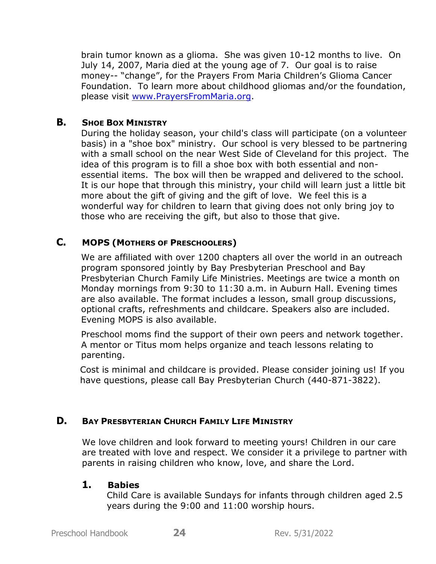brain tumor known as a glioma. She was given 10-12 months to live. On July 14, 2007, Maria died at the young age of 7. Our goal is to raise money-- "change", for the Prayers From Maria Children's Glioma Cancer Foundation. To learn more about childhood gliomas and/or the foundation, please visit [www.PrayersFromMaria.org.](http://www.prayersfrommaria.org/)

### **B. SHOE BOX MINISTRY**

During the holiday season, your child's class will participate (on a volunteer basis) in a "shoe box" ministry. Our school is very blessed to be partnering with a small school on the near West Side of Cleveland for this project. The idea of this program is to fill a shoe box with both essential and nonessential items. The box will then be wrapped and delivered to the school. It is our hope that through this ministry, your child will learn just a little bit more about the gift of giving and the gift of love. We feel this is a wonderful way for children to learn that giving does not only bring joy to those who are receiving the gift, but also to those that give.

## **C. MOPS (MOTHERS OF PRESCHOOLERS)**

We are affiliated with over 1200 chapters all over the world in an outreach program sponsored jointly by Bay Presbyterian Preschool and Bay Presbyterian Church Family Life Ministries. Meetings are twice a month on Monday mornings from 9:30 to 11:30 a.m. in Auburn Hall. Evening times are also available. The format includes a lesson, small group discussions, optional crafts, refreshments and childcare. Speakers also are included. Evening MOPS is also available.

Preschool moms find the support of their own peers and network together. A mentor or Titus mom helps organize and teach lessons relating to parenting.

Cost is minimal and childcare is provided. Please consider joining us! If you have questions, please call Bay Presbyterian Church (440-871-3822).

## **D. BAY PRESBYTERIAN CHURCH FAMILY LIFE MINISTRY**

We love children and look forward to meeting yours! Children in our care are treated with love and respect. We consider it a privilege to partner with parents in raising children who know, love, and share the Lord.

#### **1. Babies**

Child Care is available Sundays for infants through children aged 2.5 years during the 9:00 and 11:00 worship hours.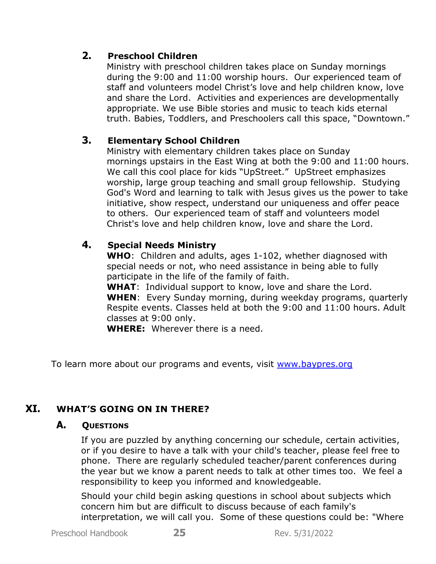# **2. Preschool Children**

Ministry with preschool children takes place on Sunday mornings during the 9:00 and 11:00 worship hours. Our experienced team of staff and volunteers model Christ's love and help children know, love and share the Lord. Activities and experiences are developmentally appropriate. We use Bible stories and music to teach kids eternal truth. Babies, Toddlers, and Preschoolers call this space, "Downtown."

# **3. Elementary School Children**

Ministry with elementary children takes place on Sunday mornings upstairs in the East Wing at both the 9:00 and 11:00 hours. We call this cool place for kids "UpStreet." UpStreet emphasizes worship, large group teaching and small group fellowship. Studying God's Word and learning to talk with Jesus gives us the power to take initiative, show respect, understand our uniqueness and offer peace to others. Our experienced team of staff and volunteers model Christ's love and help children know, love and share the Lord.

# **4. Special Needs Ministry**

**WHO**: Children and adults, ages 1-102, whether diagnosed with special needs or not, who need assistance in being able to fully participate in the life of the family of faith.

**WHAT**: Individual support to know, love and share the Lord. **WHEN**: Every Sunday morning, during weekday programs, quarterly Respite events. Classes held at both the 9:00 and 11:00 hours. Adult classes at 9:00 only.

**WHERE:** Wherever there is a need.

To learn more about our programs and events, visit [www.baypres.org](http://www.baypres.org/)

# **XI. WHAT'S GOING ON IN THERE?**

## **A. QUESTIONS**

If you are puzzled by anything concerning our schedule, certain activities, or if you desire to have a talk with your child's teacher, please feel free to phone. There are regularly scheduled teacher/parent conferences during the year but we know a parent needs to talk at other times too. We feel a responsibility to keep you informed and knowledgeable.

Should your child begin asking questions in school about subjects which concern him but are difficult to discuss because of each family's interpretation, we will call you. Some of these questions could be: "Where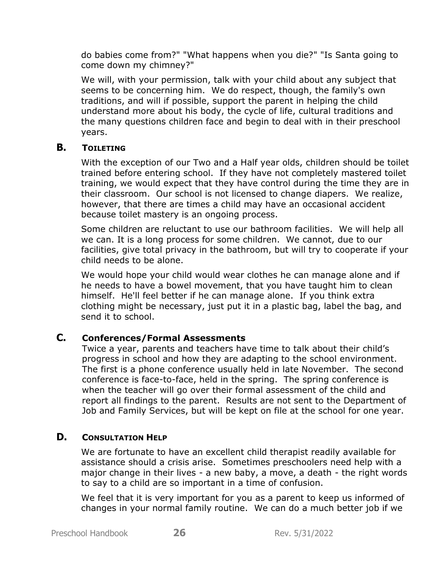do babies come from?" "What happens when you die?" "Is Santa going to come down my chimney?"

We will, with your permission, talk with your child about any subject that seems to be concerning him. We do respect, though, the family's own traditions, and will if possible, support the parent in helping the child understand more about his body, the cycle of life, cultural traditions and the many questions children face and begin to deal with in their preschool years.

## **B. TOILETING**

With the exception of our Two and a Half year olds, children should be toilet trained before entering school. If they have not completely mastered toilet training, we would expect that they have control during the time they are in their classroom. Our school is not licensed to change diapers. We realize, however, that there are times a child may have an occasional accident because toilet mastery is an ongoing process.

Some children are reluctant to use our bathroom facilities. We will help all we can. It is a long process for some children. We cannot, due to our facilities, give total privacy in the bathroom, but will try to cooperate if your child needs to be alone.

We would hope your child would wear clothes he can manage alone and if he needs to have a bowel movement, that you have taught him to clean himself. He'll feel better if he can manage alone. If you think extra clothing might be necessary, just put it in a plastic bag, label the bag, and send it to school.

## **C. Conferences/Formal Assessments**

Twice a year, parents and teachers have time to talk about their child's progress in school and how they are adapting to the school environment. The first is a phone conference usually held in late November. The second conference is face-to-face, held in the spring. The spring conference is when the teacher will go over their formal assessment of the child and report all findings to the parent. Results are not sent to the Department of Job and Family Services, but will be kept on file at the school for one year.

## **D. CONSULTATION HELP**

We are fortunate to have an excellent child therapist readily available for assistance should a crisis arise. Sometimes preschoolers need help with a major change in their lives - a new baby, a move, a death - the right words to say to a child are so important in a time of confusion.

We feel that it is very important for you as a parent to keep us informed of changes in your normal family routine. We can do a much better job if we